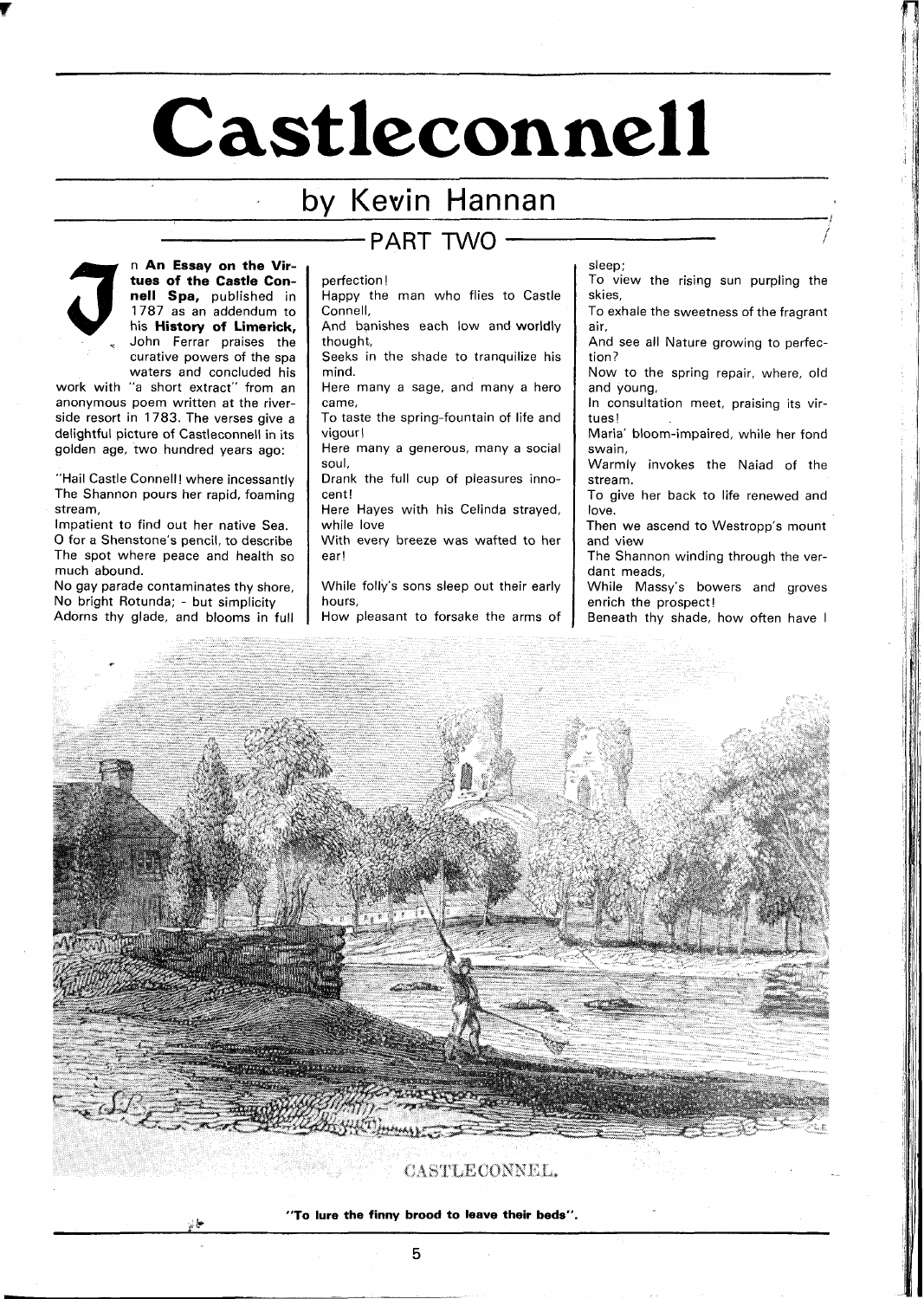# **Castleconnell**

## by Kevin Hannan



n **An Essay on the Virtues of the Castle Connell Spa,** published in 1787 as an addendum to his **History of Limerick,**  John Ferrar praises the curative powers of the spa waters and concluded his

work with "a short extract" from an anonymous poem written at the riverside resort in 1783. The verses give a delightful picture of Castleconnell in its golden age, two hundred years ago:

"Hail Castle Connell! where incessantly The Shannon pours her rapid, foaming stream,

Impatient to find out her native Sea. 0 for a Shenstone's pencil, to describe The spot where peace and health so much abound.

No gay parade contaminates thy shore, No bright Rotunda; - but simplicity Adorns thy glade, and blooms in full

<' **k** 

## PART TWO

perfection !

Happy the man who flies to Castle Connell,

And banishes each low and worldly thought,

Seeks in the shade to tranquilize his mind.

Here many a sage, and many a hero came,

To taste the spring-fountain of life and vigour!

Here many a generous, many a social soul,

Drank the full cup of pleasures innocent!

Here Hayes with his Celinda strayed, while love

With every breeze was wafted to her ear!

While folly's sons sleep out their early hours,

How pleasant to forsake the arms of

sleep;

TO view the rising sun purpling the skies,

To exhale the sweetness of the fragrant air,

And see all Nature growing to perfection?

Now to the spring repair, where, old and young,

In consultation meet, praising its virtues!

Maria' bloom-impaired, while her fond swain,

Warmly invokes the Naiad of the stream.

To give her back to life renewed and love.

Then we ascend to Westropp's mount and view

The Shannon winding through the verdant meads,

While Massy's bowers and groves enrich the prospect!

Beneath thy shade, how often have I



CASTLECONNEL.

**"To lure the finny brood to leave their beds".**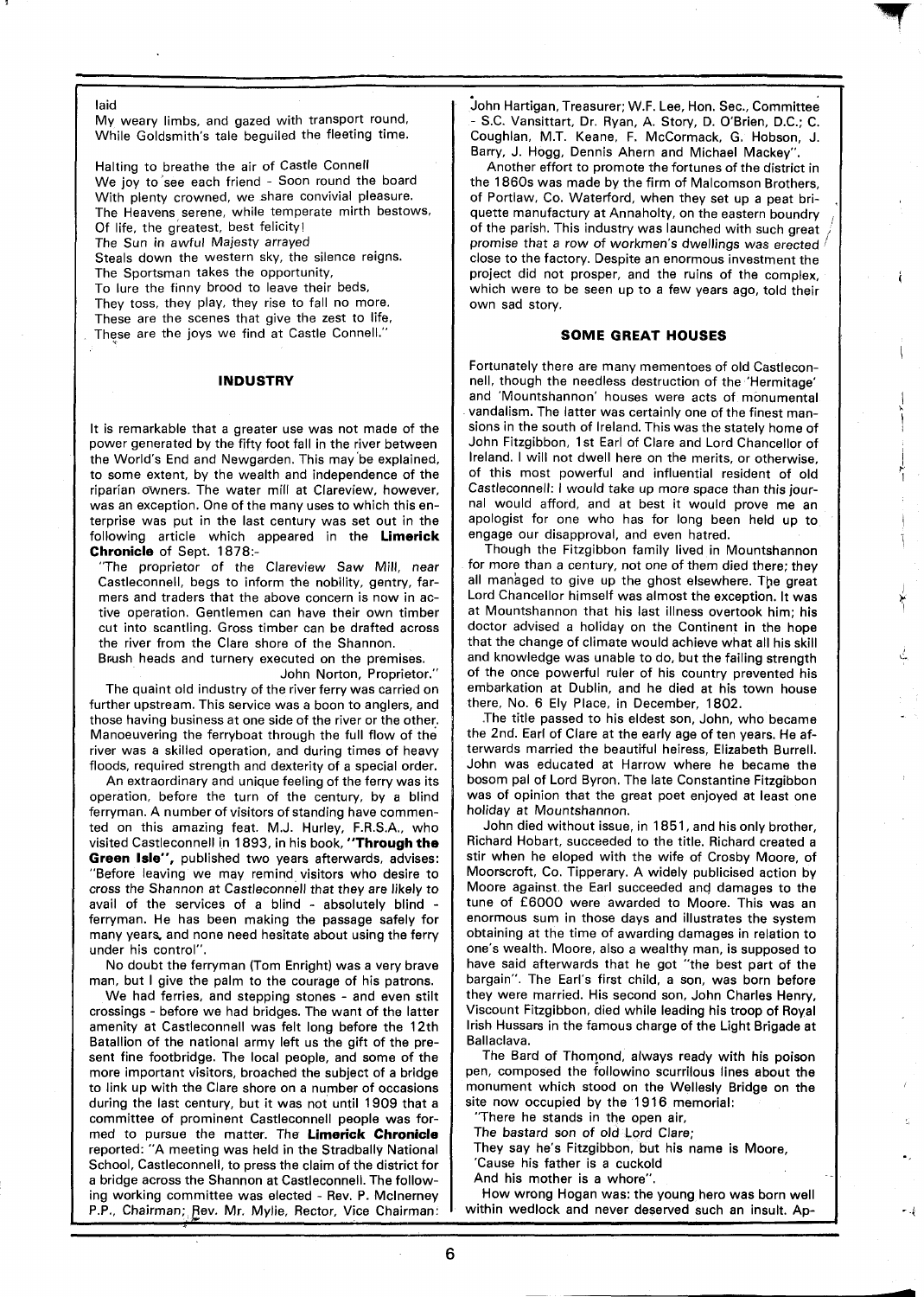laid

My weary limbs, and gazed with transport round. While Goldsmith's tale beguiled the fleeting time.

Halting to breathe the air of Castle Connell We joy to see each friend - Soon round the board With plenty crowned, we share convivial pleasure. The Heavens serene, while temperate mirth bestows, Of life, the greatest, best felicity!

The Sun in awful Majesty arrayed

Steals down the western sky, the silence reigns.

The Sportsman takes the opportunity,

To lure the finny brood to leave their beds,

They toss, they play, they rise to fall no more. These are the scenes that give the zest to life,

These are the joys we find at Castle Connell."

#### **INDUSTRY**

It is remarkable that a greater use was not made of the power generated by the fifty foot fall in the river between the World's End and Newgarden. This may'be explained, to some extent, by the wealth and independence of the riparian owners. The water mill at Clareview, however, was an exception. One of the many uses to which this enterprise was put in the last century was set out in the following article which appeared in the **Limerick Chronicle** of Sept. 1878:-

"The proprietor of the Clareview Saw Mill, near Castleconnell, begs to inform the nobility, gentry, farmers and traders that the above concern is now in active operation. Gentlemen can have their own timber cut into scantling. Gross timber can be drafted across the river from the Clare shore of the Shannon.

Brush heads and turnery executed on the premises.

John Norton, Proprietor."

The quaint old industry of the river ferry was carried on further upstream. This service was a boon to anglers, and those having business at one side of the river or the other. Manoeuvering the ferryboat through the full flow of the river was a skilled operation, and during times of heavy floods, required strength and dexterity of a special order.

An extraordinary and unique feeling of the ferry was its operation, before the turn of the century, by a blind ferryman. A number of visitors of standing have commented on this amazing feat. M.J. Hurley, F.R.S.A., who visited Castleconnell in 1893, in his book, **"Through the Green Isle",** published two years afterwards, advises: "Before leaving we may remind visitors who desire to cross the Shannon at Castleconnell that they are likely to avail of the services of a blind - absolutely blind - ferryman. He has been making the passage safely for many years, and none need hesitate about using the ferry under his control".

No doubt the ferryman (Tom Enright) was a very brave man, but I give the palm to the courage of his patrons.

We had ferries, and stepping stones - and even stilt crossings - before we had bridges. The want of the latter amenity at Castleconnell was felt long before the 12th Batallion of the national army left us the gift of the present fine footbridge. The local people, and some of the more important visitors, broached the subject of a bridge to link up with the Clare shore on a number of occasions during the last century, but it was not until 1909 that a committee of prominent Castleconnell people was formed to pursue the matter. The **Limerick Chronicle**  reported: "A meeting was held in the Stradbally National School, Castleconnell, to press the claim of the district for a bridge across the Shannon at Castleconnell. The following working committee was elected - Rev. P. Mclnerney P.P., Chairman; Rev. Mr. Mylie, Rector, Vice Chairman: John Hartigan, Treasurer; W.F. Lee, Hon. Sec., Committee - S.C. Vansittart, Dr. Ryan, A. Story, D. O'Brien, D.C.; C. Coughlan, M.T. Keane, F. McCormack, G. Hobson, J. Barry, J. Hogg, Dennis Ahern and Michael Mackey".

Another effort to promote the fortunes of the district in the 1860s was made by the firm of Malcomson Brothers, of Portlaw, Co. Waterford, when they set up a peat briquette manufactury at Annaholty, on the eastern boundry of the parish. This industry was launched with such great promise that a row of workmen's dwellings was erected  $\ell$ close to the factory. Despite an enormous investment the project did not prosper, and the ruins of the complex, which were to be seen up to a few years ago, told their own sad story.

### **SOME GREAT HOUSES**

Fortunately there are many mementoes of old Castleconnell, though the needless destruction of the 'Hermitage' and 'Mountshannon' houses were acts of monumental vandalism. The latter was certainly one of the finest mansions in the south of Ireland. This was the stately home of John Fitzgibbon, I st Earl of Clare and Lord Chancellor of Ireland. I will not dwell here on the merits, or otherwise, of this most powerful and influential resident of old Castleconnell: I would take up more space than this journal would afford, and at best it would prove me an apologist for one who has for long been held up to engage our disapproval, and even hatred.

Though the Fitzgibbon family lived in Mountshannon for more than a century, not one of them died there; they all managed to give up the ghost elsewhere. The great Lord Chancellor himself was almost the exception. It was at Mountshannon that his last illness overtook him; his doctor advised a holiday on the Continent in the hope that the change of climate would achieve what all his skill and knowledge was unable to do, but the failing strength of the once powerful ruler of his country prevented his embarkation at Dublin, and he died at his town house there, No. 6 Ely Place, in December, 1802.

.The title passed to his eldest son, John, who became the 2nd. Earl of Clare at the early age of ten years. He afterwards married the beautiful heiress, Elizabeth Burrell. John was educated at Harrow where he became the bosom pal of Lord Byron. The late Constantine Fitzgibbon was of opinion that the great poet enjoyed at least one holiday at Mountshannon.

John died without issue, in 1851, and his only brother, Richard Hobart, succeeded to the title. Richard created a stir when he eloped with the wife of Crosby Moore, of Moorscroft, Co. Tipperary. A widely publicised action by Moore against the Earl succeeded and damages to the tune of £6000 were awarded to Moore. This was an enormous sum in those days and illustrates the system obtaining at the time of awarding damages in relation to one's wealth. Moore, also a wealthy man, is supposed to have said afterwards that he got "the best part of the bargain". The Earl's first child, a son, was born before they were married. His second son, John Charles Henry, Viscount Fitzgibbon, died while leading his troop of Royal Irish Hussars in the famous charge of the Light Brigade at Ballaclava.

The Bard of Thomond, always ready with his poison pen, composed the followino scurrilous lines about the monument which stood on the Wellesly Bridge on the site now occupied by the 1916 memorial:

There he stands in the open air,

The bastard son of old Lord Clare;

They say he's Fitzgibbon, but his name is Moore,

'Cause his father is a cuckold

And his mother is a whore".

How wrong Hogan was: the young hero was born well within wedlock and never deserved such an insult. Ap-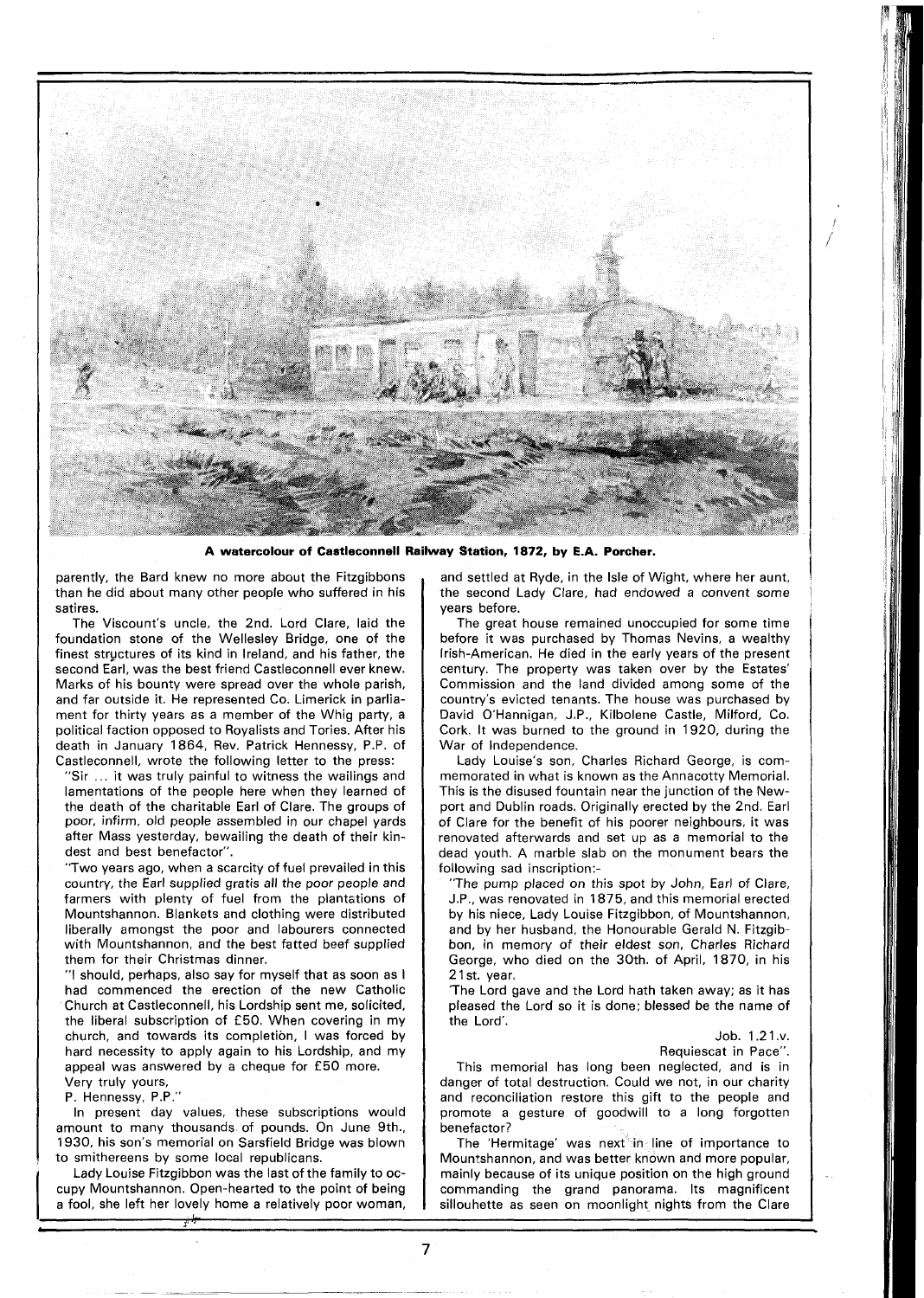

**A watercolour of Castleconnell Railway Station, 1872, by E.A. Porcher.** 

parently, the Bard knew no more about the Fitzgibbons than he did about many other people who suffered in his satires.

The Viscount's uncle, the 2nd. Lord Clare, laid the foundation stone of the Wellesley Bridge, one of the finest stryctures of its kind in Ireland, and his father, the second Earl, was the best friend Castleconnell ever knew. Marks of his bounty were spread over the whole parish, and far outside it. He represented Co. Limerick in parliament for thirty years as a member of the Whig party, a political faction opposed to Royalists and Tories. After his death in January 1864, Rev. Patrick Hennessy, P.P. of Castleconnell, wrote the following letter to the press:

"Sir . . . it was truly painful to witness the wailings and lamentations of the people here when they learned of the death of the charitable Earl of Clare. The groups of poor, infirm, old people assembled in our chapel yards after Mass yesterday, bewailing the death of their kindest and best benefactor".

"Two years ago, when a scarcity of fuel prevailed in this country, the Earl supplied gratis all the poor people and farmers with plenty of fuel from the plantations of Mountshannon. Blankets and clothing were distributed liberally amongst the poor and labourers connected with Mountshannon, and the best fatted beef supplied them for their Christmas dinner.

"I should, perhaps, also say for myself that as soon as I had commenced the erection of the new Catholic Church at Castleconnell, his Lordship sent me, solicited, the liberal subscription of £50. When covering in my church, and towards its completion, I was forced by hard necessity to apply again to his Lordship, and my appeal was answered by a cheque for £50 more. Very truly yours,

P. Hennessy, P.P."

In present day values, these subscriptions would amount to many thousands of pounds. On June 9th., 1930, his son's memorial on Sarsfield Bridge was blown to smithereens by some local republicans.

Lady Louise Fitzgibbon was the last of the family to occupy Mountshannon. Open-hearted to the point of being a fool, she left her lovely home a relatively poor woman,

and settled at Ryde, in the Isle of Wight, where her aunt, the second Lady Clare, had endowed a convent some years before.

The great house remained unoccupied for some time before it was purchased by Thomas Nevins, a wealthy Irish-American. He died in the early years of the present century. The property was taken over by the Estates' Commission and the land divided among some of the country's evicted tenants. The house was purchased by David O'Hannigan, J.P., Kilbolene Castle, Milford, Co. Cork. It was burned to the ground in 1920, during the War of Independence.

Lady Louise's son, Charles Richard George, is commemorated in what is known as the Annacotty Memorial. This is the disused fountain near the junction of the Newport and Dublin roads. Originally erected by the 2nd. Earl of Clare for the benefit of his poorer neighbours, it was renovated afterwards and set up as a memorial to the dead youth. A marble slab on the monument bears the following sad inscription:-

"The pump placed on this spot by John, Earl of Clare, J.P., was renovated in 1875, and this memorial erected by his niece, Lady Louise Fitzgibbon, of Mountshannon, and by her husband, the Honourable Gerald N. Fitzgibbon, in memory of their eldest son, Charles Richard George, who died on the 30th. of April, 1870, in his 21 st. year.

'The Lord gave and the Lord hath taken away; as it has pleased the Lord so it is done; blessed be the name of the Lord'.

> Job. 1.2 1 .v. Requiescat in Pace".

This memorial has long been neglected, and is in danger of total destruction. Could we not, in our charity and reconciliation restore this gift to the people and promote a gesture of goodwill to a long forgotten benefactor?

The 'Hermitage' was next in line of importance to Moun:shannon, and was better known and more popular, mainly because of its unique position on the high ground commanding the grand panorama. Its magnificent sillouhette as seen on moonlight nights from the Clare

 $\overline{7}$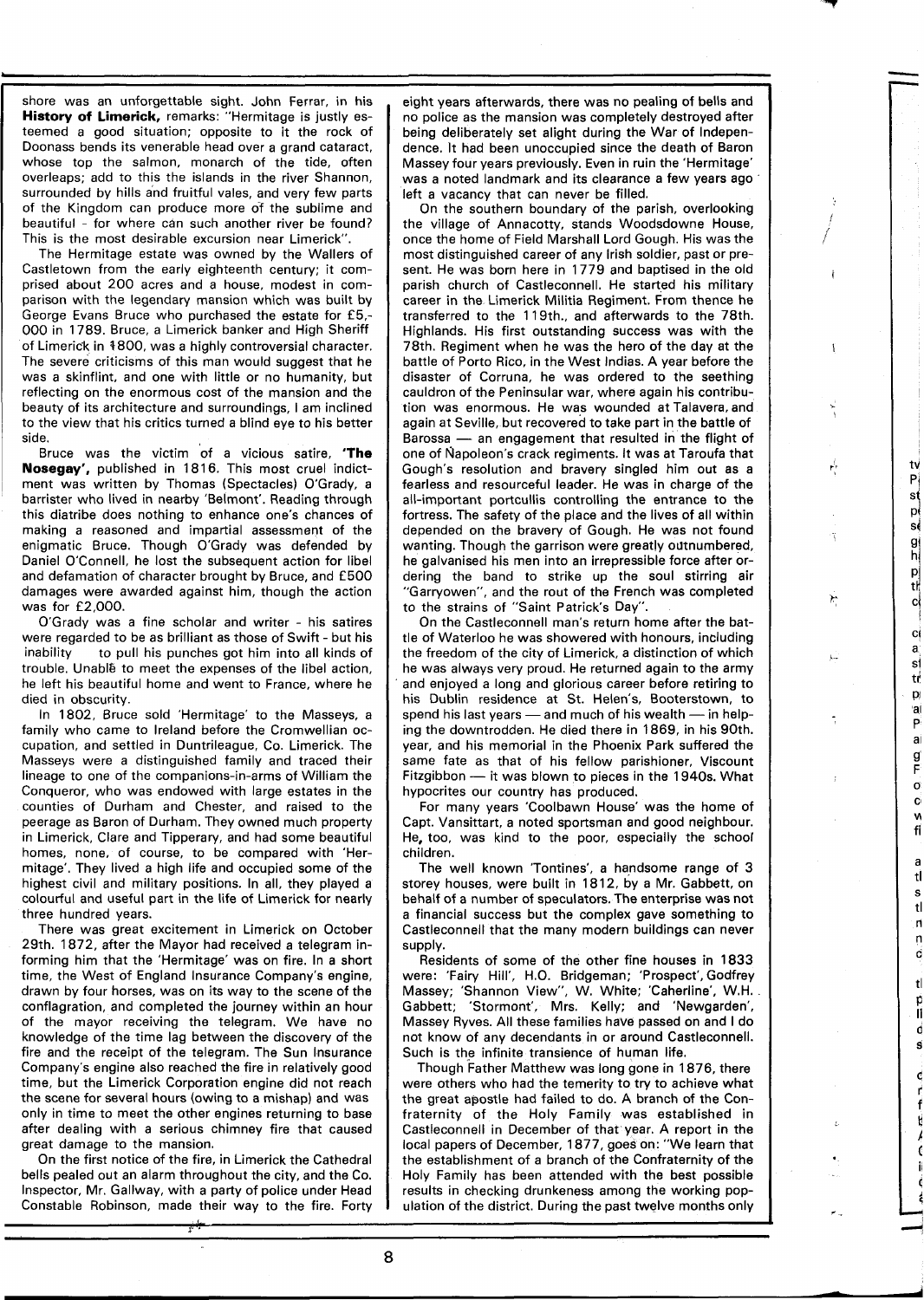shore was an unforgettable sight. John Ferrar, in his **History of Limerick,** remarks: "Hermitage is justly esteemed a good situation; opposite to it the rock of Doonass bends its venerable head over a grand cataract, whose top the salmon, monarch of the tide, often overleaps; add to this the islands in the river Shannon, surrounded by hills and fruitful vales, and very few parts of the Kingdom can produce more of the sublime and beautiful - for where can such another river be found? This is the most desirable excursion near Limerick".

The Hermitage estate was owned by the Wallers of Castletown from the early eighteenth century; it comprised about 200 acres and a house, modest in comparison with the legendary mansion which was built by George Evans Bruce who purchased the estate for **£5,-**  000 in 1789. Bruce, a Limerick banker and High Sheriff of Limeridk in +800, was a highly controversial character. The severe criticisms of this man would suggest that he was a skinflint, and one with little or no humanity, but reflecting on the enormous cost of the mansion and the beauty of its architecture and surroundings, I am inclined to the view that his critics turned a blind eye to his better side.

Bruce was the victim of a vicious satire, **'The**  Nosegay', published in 1816. This most cruel indictment was written by Thomas (Spectacles) O'Grady, a barrister who lived in nearby 'Belmont'. Reading through this diatribe does nothing to enhance one's chances of making a reasoned and impartial assessment of the enigmatic Bruce. Though O'Grady was defended by Daniel O'Connell, he lost the subsequent action for libel and defamation of character brought by Bruce, and £500 damages were awarded against him, though the action was for £2,000.

O'Grady was a fine scholar and writer - his satires were regarded to be as brilliant as those of Swift - but his<br>inability to pull his punches got him into all kinds of to pull his punches got him into all kinds of trouble. Unable to meet the expenses of the libel action, he left his beautiful home and went to France, where he died in obscurity.

In 1802, Bruce sold 'Hermitage' to the Masseys, a family who came to Ireland before the Cromwellian occupation, and settled in Duntrileague, Co. Limerick. The Masseys were a distinguished family and traced their lineage to one of the companions-in-arms of William the Conqueror, who was endowed with large estates in the counties of Durham and Chester, and raised to the peerage as Baron of Durham. They owned much property in Limerick, Clare and Tipperary, and had some beautiful homes, none, of course, to be compared with 'Hermitage'. They lived a high life and occupied some of the highest civil and military positions. In all, they played a colourful and useful part in the life of Limerick for nearly three hundred years.

There was great excitement in Limerick on October 29th. 1872, after the Mayor had received a telegram informing him that the 'Hermitage' was on fire. In a short time, the West of England lnsurance Company's engine, drawn by four horses, was on its way to the scene of the conflagration, and completed the journey within an hour of the mayor receiving the telegram. We have no knowledge of the time lag between the discovery of the fire and the receipt of the telegram. The Sun lnsurance Company's engine also reached the fire in relatively good time, but the Limerick Corporation engine did not reach the scene for several hours (owing to a mishap) and was only in time to meet the other engines returning to base after dealing with a serious chimney fire that caused great damage to the mansion.

On the first notice of the fire, in Limerick the Cathedral bells pealed out an alarm throughout the city, and the Co. Inspector, Mr. Gallway, with a party of police under Head Constable Robinson, made their way to the fire. Forty

eight years afterwards, there was no pealing of bells and no police as the mansion was completely destroyed after being deliberately set alight during the War of Independence. It had been unoccupied since the death of Baron Massey four years previously. Even in ruin the 'Hermitage' was a noted landmark and its clearance a few years ago ' left a vacancy that can never be filled.

On the southern boundary of the parish, overlooking the village of Annacotty, stands Woodsdowne House, once the home of Field Marshall Lord Gough. His was the most distinguished career of any Irish soldier, past or present. He was born here in 1779 and baptised in the old parish church of Castleconnell. He started his military career in the Limerick Militia Regiment. From thence he transferred to the 119th., and afterwards to the 78th. Highlands. His first outstanding success was with the 78th. Regiment when he was the hero of the day at the battle of Porto Rico, in the West Indias. A year before the disaster of Corruna, he was ordered to the seething cauldron of the Peninsular war, where again his contribution was enormous. He was wounded at Talavera, and again at Seville, but recovered to take part in the battle of France was enormous. He was wounded at Talavera, and again at Seville, but recovered to take part in the battle of Barossa — an engagement that resulted in the flight of one of Napoleon's crack regiments. It was at Taroufa one of flapoleon's crack regiments. It was at Taroufa that Gough's resolution and bravery singled him out as a fearless and resourceful leader. He was in charge of the all-important portcullis controlling the entrance to the fortress. The safety of the place and the lives of all within depended on the bravery of Gough. He was not found wanting. Though the garrison were greatly odtnumbered, he galvanised his men into an irrepressible force after ordering the band to strike up the soul stirring air "Garryowen", and the rout of the French was completed to the strains of "Saint Patrick's Day".

Ÿ

ń

ĩ,

٣

L.

tv

 $P<sub>i</sub>$ sĺ p sĺ

 $\frac{9}{h}$ pi<br>ti

сł

ci a.

sİ tť  $\mathbf{p}$ 'ai P ai g F  $\sigma$  $\mathbf{C}$ M -ff

> a tĺ s tl  $\mathsf{n}$ n d  $t$ p IÍ d Ś d

> > K  $\mathbf{C}$

On the Castleconnell man's return home after the battle of Waterloo he was showered with honours, including the freedom of the city of Limerick, a distinction of which he was always very proud. He returned again to the army and enjoyed a long and glorious career before retiring to his Dublin residence at St. Helen's, Booterstown, to spend his last years — and much of his wealth — in help-<br>ing the downtrodden He died there in 1869 in his 90th his Dublin residence at St. Helen's, Booterstown, to ing the downtrodden. He died there in 1869, in his 90th. year, and his memorial in the Phoenix Park suffered the same fate as that of his fellow parishioner, Viscount year, and his memorial in the Phoenix Park suffered the same fate as that of his fellow parishioner, Viscount Fitzgibbon — it was blown to pieces in the 1940s. What hypocrites our country has produced.

For many years 'Coolbawn House' was the home of Capt. Vansittart, a noted sportsman and good neighbour. He, too, was kind to the poor, especially the school children.

The well known 'Tontines', a handsome range of 3 storey houses, were built in 1812, by a Mr. Gabbett, on behalf of a number of speculators. The enterprise was not a financial success but the complex gave something to Castleconnell that the many modern buildings can never supply.

Residents of some of the other fine houses in 1833 were: 'Fairy Hill', H.O. Bridgeman; 'Prospect', Godfrey Massey; 'Shannon View", W. White; 'Caherline', W.H. Gabbett; 'Stormont', Mrs. Kelly; and 'Newgarden', Massey Ryves. All these families have passed on and I do not know of any decendants in or around Castleconnell. Such is the infinite transience of human life.

Though Father Matthew was long gone in 1876, there were others who had the temerity to try to achieve what the great apostle had failed to do. A branch of the Confraternity of the Holy Family was established in Castleconnell in December of that year. A report in the local papers of December, 1877, goes on: "We learn that the establishment of a branch of the Confraternity of the Holy Family has been attended with the best possible results in checking drunkeness among the working population of the district. During the past twelve months only